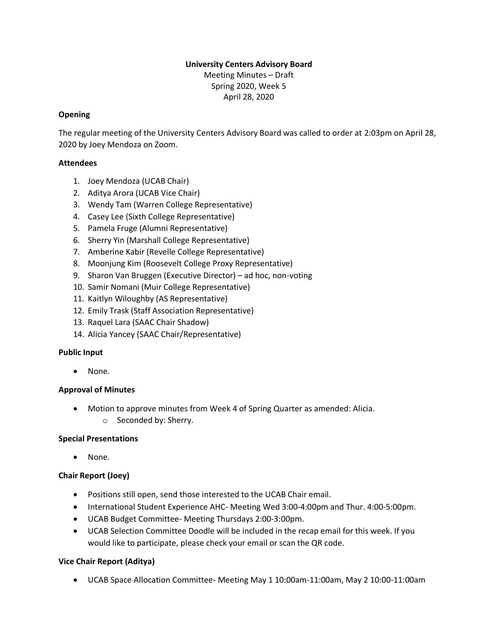# **University Centers Advisory Board**

Meeting Minutes – Draft Spring 2020, Week 5 April 28, 2020

# **Opening**

The regular meeting of the University Centers Advisory Board was called to order at 2:03pm on April 28, 2020 by Joey Mendoza on Zoom.

## **Attendees**

- 1. Joey Mendoza (UCAB Chair)
- 2. Aditya Arora (UCAB Vice Chair)
- 3. Wendy Tam (Warren College Representative)
- 4. Casey Lee (Sixth College Representative)
- 5. Pamela Fruge (Alumni Representative)
- 6. Sherry Yin (Marshall College Representative)
- 7. Amberine Kabir (Revelle College Representative)
- 8. Moonjung Kim (Roosevelt College Proxy Representative)
- 9. Sharon Van Bruggen (Executive Director) ad hoc, non-voting
- 10. Samir Nomani (Muir College Representative)
- 11. Kaitlyn Wiloughby (AS Representative)
- 12. Emily Trask (Staff Association Representative)
- 13. Raquel Lara (SAAC Chair Shadow)
- 14. Alicia Yancey (SAAC Chair/Representative)

## **Public Input**

• None.

## **Approval of Minutes**

- Motion to approve minutes from Week 4 of Spring Quarter as amended: Alicia.
	- o Seconded by: Sherry.

## **Special Presentations**

• None.

# **Chair Report (Joey)**

- Positions still open, send those interested to the UCAB Chair email.
- International Student Experience AHC- Meeting Wed 3:00-4:00pm and Thur. 4:00-5:00pm.
- UCAB Budget Committee- Meeting Thursdays 2:00-3:00pm.
- UCAB Selection Committee Doodle will be included in the recap email for this week. If you would like to participate, please check your email or scan the QR code.

## **Vice Chair Report (Aditya)**

• UCAB Space Allocation Committee- Meeting May 1 10:00am-11:00am, May 2 10:00-11:00am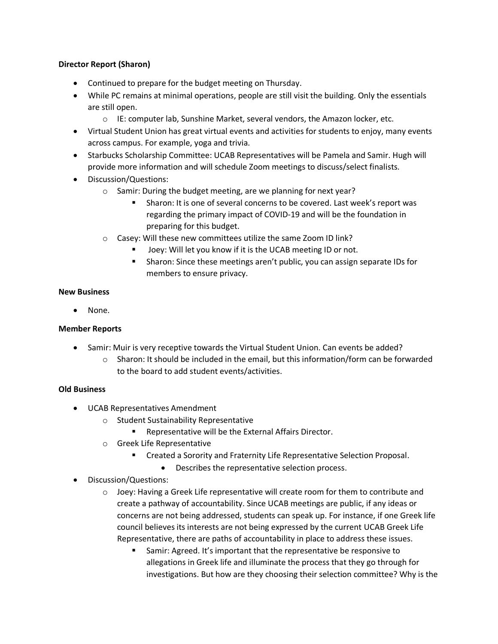## **Director Report (Sharon)**

- Continued to prepare for the budget meeting on Thursday.
- While PC remains at minimal operations, people are still visit the building. Only the essentials are still open.
	- o IE: computer lab, Sunshine Market, several vendors, the Amazon locker, etc.
- Virtual Student Union has great virtual events and activities for students to enjoy, many events across campus. For example, yoga and trivia.
- Starbucks Scholarship Committee: UCAB Representatives will be Pamela and Samir. Hugh will provide more information and will schedule Zoom meetings to discuss/select finalists.
- Discussion/Questions:
	- o Samir: During the budget meeting, are we planning for next year?
		- **EXECT** Sharon: It is one of several concerns to be covered. Last week's report was regarding the primary impact of COVID-19 and will be the foundation in preparing for this budget.
	- o Casey: Will these new committees utilize the same Zoom ID link?
		- Joey: Will let you know if it is the UCAB meeting ID or not.
		- **EXEDM** Sharon: Since these meetings aren't public, you can assign separate IDs for members to ensure privacy.

## **New Business**

• None.

# **Member Reports**

- Samir: Muir is very receptive towards the Virtual Student Union. Can events be added?
	- $\circ$  Sharon: It should be included in the email, but this information/form can be forwarded to the board to add student events/activities.

# **Old Business**

- UCAB Representatives Amendment
	- o Student Sustainability Representative
		- Representative will be the External Affairs Director.
	- o Greek Life Representative
		- Created a Sorority and Fraternity Life Representative Selection Proposal.
			- Describes the representative selection process.
- Discussion/Questions:
	- $\circ$  Joey: Having a Greek Life representative will create room for them to contribute and create a pathway of accountability. Since UCAB meetings are public, if any ideas or concerns are not being addressed, students can speak up. For instance, if one Greek life council believes its interests are not being expressed by the current UCAB Greek Life Representative, there are paths of accountability in place to address these issues.
		- Samir: Agreed. It's important that the representative be responsive to allegations in Greek life and illuminate the process that they go through for investigations. But how are they choosing their selection committee? Why is the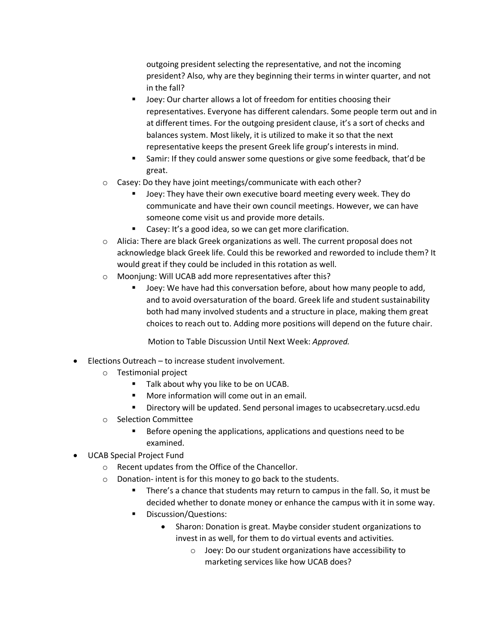outgoing president selecting the representative, and not the incoming president? Also, why are they beginning their terms in winter quarter, and not in the fall?

- Joey: Our charter allows a lot of freedom for entities choosing their representatives. Everyone has different calendars. Some people term out and in at different times. For the outgoing president clause, it's a sort of checks and balances system. Most likely, it is utilized to make it so that the next representative keeps the present Greek life group's interests in mind.
- Samir: If they could answer some questions or give some feedback, that'd be great.
- o Casey: Do they have joint meetings/communicate with each other?
	- Joey: They have their own executive board meeting every week. They do communicate and have their own council meetings. However, we can have someone come visit us and provide more details.
	- Casey: It's a good idea, so we can get more clarification.
- o Alicia: There are black Greek organizations as well. The current proposal does not acknowledge black Greek life. Could this be reworked and reworded to include them? It would great if they could be included in this rotation as well.
- o Moonjung: Will UCAB add more representatives after this?
	- Joey: We have had this conversation before, about how many people to add, and to avoid oversaturation of the board. Greek life and student sustainability both had many involved students and a structure in place, making them great choices to reach out to. Adding more positions will depend on the future chair.

Motion to Table Discussion Until Next Week: *Approved.*

- Elections Outreach to increase student involvement.
	- o Testimonial project
		- Talk about why you like to be on UCAB.
		- More information will come out in an email.
		- Directory will be updated. Send personal images to ucabsecretary.ucsd.edu
	- o Selection Committee
		- Before opening the applications, applications and questions need to be examined.
- UCAB Special Project Fund
	- o Recent updates from the Office of the Chancellor.
	- o Donation- intent is for this money to go back to the students.
		- There's a chance that students may return to campus in the fall. So, it must be decided whether to donate money or enhance the campus with it in some way.
		- Discussion/Questions:
			- Sharon: Donation is great. Maybe consider student organizations to invest in as well, for them to do virtual events and activities.
				- o Joey: Do our student organizations have accessibility to marketing services like how UCAB does?